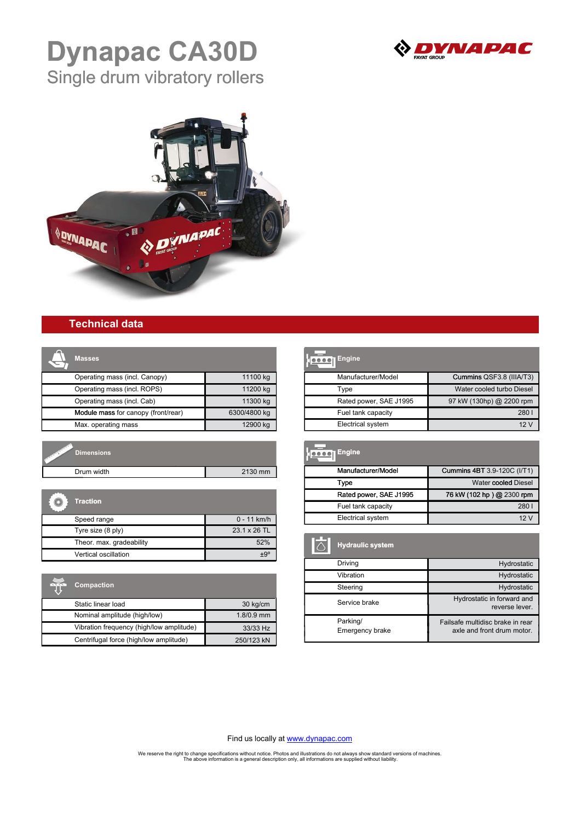

# **Dynapac CA30D** Single drum vibratory rollers



### **Technical data**

| <b>Masses</b>                       |              |
|-------------------------------------|--------------|
| Operating mass (incl. Canopy)       | 11100 kg     |
| Operating mass (incl. ROPS)         | 11200 kg     |
| Operating mass (incl. Cab)          | 11300 kg     |
| Module mass for canopy (front/rear) | 6300/4800 kg |
| Max. operating mass                 | 12900 kg     |

| Dimensions |         |
|------------|---------|
| Drum width | 2130 mm |

| <b>Traction</b>          |               |
|--------------------------|---------------|
| Speed range              | $0 - 11$ km/h |
| Tyre size (8 ply)        | 23.1 x 26 TL  |
| Theor. max. gradeability | 52%           |
| Vertical oscillation     | +Q°           |

| 5.5.5.5 | <b>Compaction</b>                        |            |
|---------|------------------------------------------|------------|
|         | Static linear load                       | 30 kg/cm   |
|         | Nominal amplitude (high/low)             | 1.8/0.9 mm |
|         | Vibration frequency (high/low amplitude) | 33/33 Hz   |
|         | Centrifugal force (high/low amplitude)   | 250/123 kN |

| <b>Engine</b>            |                           |
|--------------------------|---------------------------|
| Manufacturer/Model       | Cummins QSF3.8 (IIIA/T3)  |
| Type                     | Water cooled turbo Diesel |
| Rated power, SAE J1995   | 97 kW (130hp) @ 2200 rpm  |
| Fuel tank capacity       | 280                       |
| <b>Electrical system</b> | 12 V                      |

| <b>Dimensions</b> |                      | <b>Hoooo</b> Engine    |                             |
|-------------------|----------------------|------------------------|-----------------------------|
| Drum width        | 2130 mm              | Manufacturer/Model     | Cummins 4BT 3.9-120C (I/T1) |
|                   |                      | Type                   | Water cooled Diesel         |
|                   |                      | Rated power, SAE J1995 | 76 kW (102 hp) @ 2300 rpm   |
| <b>Traction</b>   |                      | Fuel tank capacity     | 280                         |
| Speed range       | $0 - 11$ km/h        | Electrical system      | 12V                         |
| Tyre size (8 nlv) | $231$ $\times$ 26 TL |                        |                             |

| <b>Hydraulic system</b>     |                                                                |
|-----------------------------|----------------------------------------------------------------|
| Driving                     | Hydrostatic                                                    |
| Vibration                   | Hydrostatic                                                    |
| Steering                    | Hydrostatic                                                    |
| Service brake               | Hydrostatic in forward and<br>reverse lever.                   |
| Parking/<br>Emergency brake | Failsafe multidisc brake in rear<br>axle and front drum motor. |

Find us locally at [www.dynapac.com](https://dynapac.com/en/contact)

We reserve the right to change specifications without notice. Photos and illustrations do not always show standard versions of machines.<br>The above information is a general description only, all informations are supplied wi